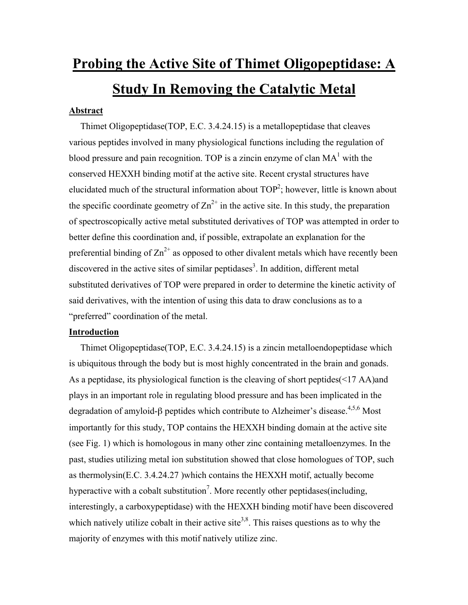# **Probing the Active Site of Thimet Oligopeptidase: A Study In Removing the Catalytic Metal**

## **Abstract**

Thimet Oligopeptidase(TOP, E.C. 3.4.24.15) is a metallopeptidase that cleaves various peptides involved in many physiological functions including the regulation of blood pressure and pain recognition. TOP is a zincin enzyme of clan  $MA<sup>1</sup>$  with the conserved HEXXH binding motif at the active site. Recent crystal structures have elucidated much of the structural information about  $TOP^2$ ; however, little is known about the specific coordinate geometry of  $\text{Zn}^{2+}$  in the active site. In this study, the preparation of spectroscopically active metal substituted derivatives of TOP was attempted in order to better define this coordination and, if possible, extrapolate an explanation for the preferential binding of  $\text{Zn}^{2+}$  as opposed to other divalent metals which have recently been discovered in the active sites of similar peptidases<sup>3</sup>. In addition, different metal substituted derivatives of TOP were prepared in order to determine the kinetic activity of said derivatives, with the intention of using this data to draw conclusions as to a "preferred" coordination of the metal.

## **Introduction**

 Thimet Oligopeptidase(TOP, E.C. 3.4.24.15) is a zincin metalloendopeptidase which is ubiquitous through the body but is most highly concentrated in the brain and gonads. As a peptidase, its physiological function is the cleaving of short peptides(<17 AA)and plays in an important role in regulating blood pressure and has been implicated in the degradation of amyloid-β peptides which contribute to Alzheimer's disease.<sup>4,5,6</sup> Most importantly for this study, TOP contains the HEXXH binding domain at the active site (see Fig. 1) which is homologous in many other zinc containing metalloenzymes. In the past, studies utilizing metal ion substitution showed that close homologues of TOP, such as thermolysin(E.C. 3.4.24.27 )which contains the HEXXH motif, actually become hyperactive with a cobalt substitution<sup>7</sup>. More recently other peptidases (including, interestingly, a carboxypeptidase) with the HEXXH binding motif have been discovered which natively utilize cobalt in their active site<sup>3,8</sup>. This raises questions as to why the majority of enzymes with this motif natively utilize zinc.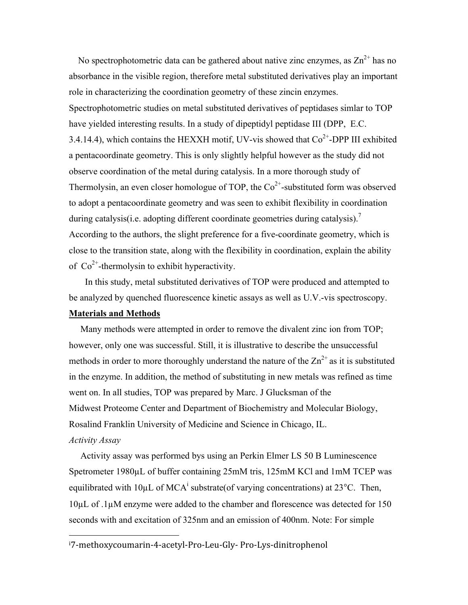No spectrophotometric data can be gathered about native zinc enzymes, as  $\text{Zn}^{2+}$  has no absorbance in the visible region, therefore metal substituted derivatives play an important role in characterizing the coordination geometry of these zincin enzymes. Spectrophotometric studies on metal substituted derivatives of peptidases simlar to TOP have yielded interesting results. In a study of dipeptidyl peptidase III (DPP, E.C. 3.4.14.4), which contains the HEXXH motif, UV-vis showed that  $Co<sup>2+</sup>-DPP$  III exhibited a pentacoordinate geometry. This is only slightly helpful however as the study did not observe coordination of the metal during catalysis. In a more thorough study of Thermolysin, an even closer homologue of TOP, the  $Co^{2+}$ -substituted form was observed to adopt a pentacoordinate geometry and was seen to exhibit flexibility in coordination during catalysis(i.e. adopting different coordinate geometries during catalysis).<sup>7</sup> According to the authors, the slight preference for a five-coordinate geometry, which is close to the transition state, along with the flexibility in coordination, explain the ability of  $Co<sup>2+</sup>$ -thermolysin to exhibit hyperactivity.

 In this study, metal substituted derivatives of TOP were produced and attempted to be analyzed by quenched fluorescence kinetic assays as well as U.V.-vis spectroscopy.

## **Materials and Methods**

 Many methods were attempted in order to remove the divalent zinc ion from TOP; however, only one was successful. Still, it is illustrative to describe the unsuccessful methods in order to more thoroughly understand the nature of the  $\text{Zn}^{2+}$  as it is substituted in the enzyme. In addition, the method of substituting in new metals was refined as time went on. In all studies, TOP was prepared by Marc. J Glucksman of the Midwest Proteome Center and Department of Biochemistry and Molecular Biology, Rosalind Franklin University of Medicine and Science in Chicago, IL. *Activity Assay*

 Activity assay was performed bys using an Perkin Elmer LS 50 B Luminescence Spetrometer 1980µL of buffer containing 25mM tris, 125mM KCl and 1mM TCEP was equilibrated with  $10\mu L$  of MCA<sup>i</sup> substrate(of varying concentrations) at 23<sup>o</sup>C. Then, 10µL of .1µM enzyme were added to the chamber and florescence was detected for 150 seconds with and excitation of 325nm and an emission of 400nm. Note: For simple

i 7‐methoxycoumarin‐4‐acetyl‐Pro‐Leu‐Gly‐ Pro‐Lys‐dinitrophenol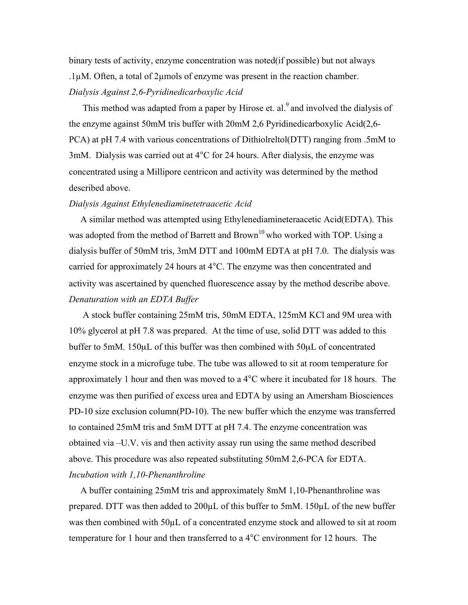binary tests of activity, enzyme concentration was noted(if possible) but not always .1µM. Often, a total of 2µmols of enzyme was present in the reaction chamber. *Dialysis Against 2,6-Pyridinedicarboxylic Acid*

This method was adapted from a paper by Hirose et. al.<sup>9</sup> and involved the dialysis of the enzyme against 50mM tris buffer with 20mM 2,6 Pyridinedicarboxylic Acid(2,6- PCA) at pH 7.4 with various concentrations of Dithiolreltol(DTT) ranging from .5mM to 3mM. Dialysis was carried out at 4°C for 24 hours. After dialysis, the enzyme was concentrated using a Millipore centricon and activity was determined by the method described above.

#### *Dialysis Against Ethylenediaminetetraacetic Acid*

 A similar method was attempted using Ethylenediamineteraacetic Acid(EDTA). This was adopted from the method of Barrett and Brown<sup>10</sup> who worked with TOP. Using a dialysis buffer of 50mM tris, 3mM DTT and 100mM EDTA at pH 7.0. The dialysis was carried for approximately 24 hours at 4°C. The enzyme was then concentrated and activity was ascertained by quenched fluorescence assay by the method describe above. *Denaturation with an EDTA Buffer*

 A stock buffer containing 25mM tris, 50mM EDTA, 125mM KCl and 9M urea with 10% glycerol at pH 7.8 was prepared. At the time of use, solid DTT was added to this buffer to 5mM. 150µL of this buffer was then combined with 50µL of concentrated enzyme stock in a microfuge tube. The tube was allowed to sit at room temperature for approximately 1 hour and then was moved to a 4°C where it incubated for 18 hours. The enzyme was then purified of excess urea and EDTA by using an Amersham Biosciences PD-10 size exclusion column(PD-10). The new buffer which the enzyme was transferred to contained 25mM tris and 5mM DTT at pH 7.4. The enzyme concentration was obtained via –U.V. vis and then activity assay run using the same method described above. This procedure was also repeated substituting 50mM 2,6-PCA for EDTA. *Incubation with 1,10-Phenanthroline*

 A buffer containing 25mM tris and approximately 8mM 1,10-Phenanthroline was prepared. DTT was then added to 200µL of this buffer to 5mM. 150µL of the new buffer was then combined with 50µL of a concentrated enzyme stock and allowed to sit at room temperature for 1 hour and then transferred to a 4°C environment for 12 hours. The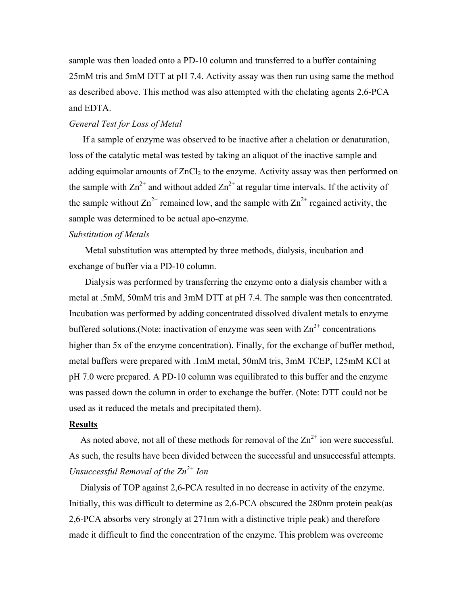sample was then loaded onto a PD-10 column and transferred to a buffer containing 25mM tris and 5mM DTT at pH 7.4. Activity assay was then run using same the method as described above. This method was also attempted with the chelating agents 2,6-PCA and EDTA.

#### *General Test for Loss of Metal*

 If a sample of enzyme was observed to be inactive after a chelation or denaturation, loss of the catalytic metal was tested by taking an aliquot of the inactive sample and adding equimolar amounts of  $ZnCl<sub>2</sub>$  to the enzyme. Activity assay was then performed on the sample with  $\text{Zn}^{2+}$  and without added  $\text{Zn}^{2+}$  at regular time intervals. If the activity of the sample without  $Zn^{2+}$  remained low, and the sample with  $Zn^{2+}$  regained activity, the sample was determined to be actual apo-enzyme.

#### *Substitution of Metals*

 Metal substitution was attempted by three methods, dialysis, incubation and exchange of buffer via a PD-10 column.

 Dialysis was performed by transferring the enzyme onto a dialysis chamber with a metal at .5mM, 50mM tris and 3mM DTT at pH 7.4. The sample was then concentrated. Incubation was performed by adding concentrated dissolved divalent metals to enzyme buffered solutions. (Note: inactivation of enzyme was seen with  $\text{Zn}^{2+}$  concentrations higher than 5x of the enzyme concentration). Finally, for the exchange of buffer method, metal buffers were prepared with .1mM metal, 50mM tris, 3mM TCEP, 125mM KCl at pH 7.0 were prepared. A PD-10 column was equilibrated to this buffer and the enzyme was passed down the column in order to exchange the buffer. (Note: DTT could not be used as it reduced the metals and precipitated them).

#### **Results**

As noted above, not all of these methods for removal of the  $\text{Zn}^{2+}$  ion were successful. As such, the results have been divided between the successful and unsuccessful attempts. *Unsuccessful Removal of the Zn2+ Ion*

 Dialysis of TOP against 2,6-PCA resulted in no decrease in activity of the enzyme. Initially, this was difficult to determine as 2,6-PCA obscured the 280nm protein peak(as 2,6-PCA absorbs very strongly at 271nm with a distinctive triple peak) and therefore made it difficult to find the concentration of the enzyme. This problem was overcome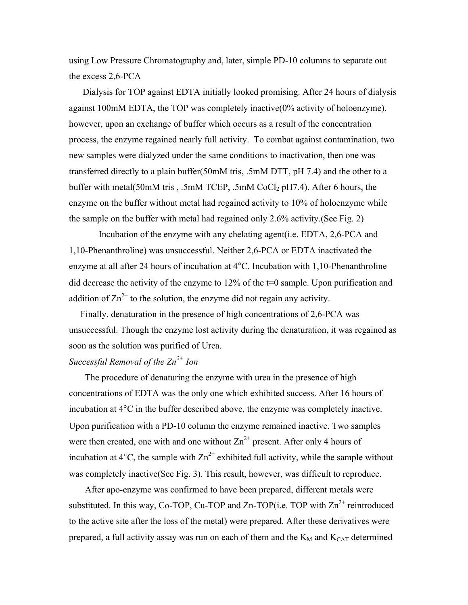using Low Pressure Chromatography and, later, simple PD-10 columns to separate out the excess 2,6-PCA

 Dialysis for TOP against EDTA initially looked promising. After 24 hours of dialysis against 100mM EDTA, the TOP was completely inactive(0% activity of holoenzyme), however, upon an exchange of buffer which occurs as a result of the concentration process, the enzyme regained nearly full activity. To combat against contamination, two new samples were dialyzed under the same conditions to inactivation, then one was transferred directly to a plain buffer(50mM tris, .5mM DTT, pH 7.4) and the other to a buffer with metal(50mM tris,  $.5$ mM TCEP,  $.5$ mM CoCl<sub>2</sub> pH7.4). After 6 hours, the enzyme on the buffer without metal had regained activity to 10% of holoenzyme while the sample on the buffer with metal had regained only 2.6% activity.(See Fig. 2)

 Incubation of the enzyme with any chelating agent(i.e. EDTA, 2,6-PCA and 1,10-Phenanthroline) was unsuccessful. Neither 2,6-PCA or EDTA inactivated the enzyme at all after 24 hours of incubation at 4°C. Incubation with 1,10-Phenanthroline did decrease the activity of the enzyme to 12% of the t=0 sample. Upon purification and addition of  $\text{Zn}^{2+}$  to the solution, the enzyme did not regain any activity.

 Finally, denaturation in the presence of high concentrations of 2,6-PCA was unsuccessful. Though the enzyme lost activity during the denaturation, it was regained as soon as the solution was purified of Urea.

# *Successful Removal of the Zn2+ Ion*

 The procedure of denaturing the enzyme with urea in the presence of high concentrations of EDTA was the only one which exhibited success. After 16 hours of incubation at 4°C in the buffer described above, the enzyme was completely inactive. Upon purification with a PD-10 column the enzyme remained inactive. Two samples were then created, one with and one without  $\text{Zn}^{2+}$  present. After only 4 hours of incubation at  $4^{\circ}$ C, the sample with  $\text{Zn}^{2+}$  exhibited full activity, while the sample without was completely inactive(See Fig. 3). This result, however, was difficult to reproduce.

 After apo-enzyme was confirmed to have been prepared, different metals were substituted. In this way, Co-TOP, Cu-TOP and Zn-TOP(i.e. TOP with  $\text{Zn}^{2+}$  reintroduced to the active site after the loss of the metal) were prepared. After these derivatives were prepared, a full activity assay was run on each of them and the  $K_M$  and  $K_{CAT}$  determined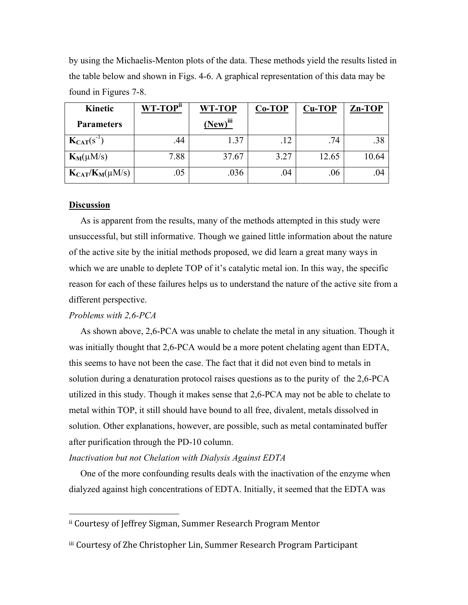by using the Michaelis-Menton plots of the data. These methods yield the results listed in the table below and shown in Figs. 4-6. A graphical representation of this data may be found in Figures 7-8.

| Kinetic                | WT-TOP <sup>ii</sup> | WT-TOP        | $Co-TOP$ | <b>Cu-TOP</b> | Zn-TOP |
|------------------------|----------------------|---------------|----------|---------------|--------|
| <b>Parameters</b>      |                      | $(New)^{iii}$ |          |               |        |
| $K_{CAT}(s^{-1})$      | .44                  | 1.37          | .12      | .74           | .38    |
| $K_M(\mu M/s)$         | 7.88                 | 37.67         | 3.27     | 12.65         | 10.64  |
| $K_{CAT}/K_M(\mu M/s)$ | .05                  | .036          | .04      | .06           | .04    |

#### **Discussion**

 As is apparent from the results, many of the methods attempted in this study were unsuccessful, but still informative. Though we gained little information about the nature of the active site by the initial methods proposed, we did learn a great many ways in which we are unable to deplete TOP of it's catalytic metal ion. In this way, the specific reason for each of these failures helps us to understand the nature of the active site from a different perspective.

#### *Problems with 2,6-PCA*

 As shown above, 2,6-PCA was unable to chelate the metal in any situation. Though it was initially thought that 2,6-PCA would be a more potent chelating agent than EDTA, this seems to have not been the case. The fact that it did not even bind to metals in solution during a denaturation protocol raises questions as to the purity of the 2,6-PCA utilized in this study. Though it makes sense that 2,6-PCA may not be able to chelate to metal within TOP, it still should have bound to all free, divalent, metals dissolved in solution. Other explanations, however, are possible, such as metal contaminated buffer after purification through the PD-10 column.

#### *Inactivation but not Chelation with Dialysis Against EDTA*

 One of the more confounding results deals with the inactivation of the enzyme when dialyzed against high concentrations of EDTA. Initially, it seemed that the EDTA was

ii Courtesy of Jeffrey Sigman, Summer Research Program Mentor

iii Courtesy of Zhe Christopher Lin, Summer Research Program Participant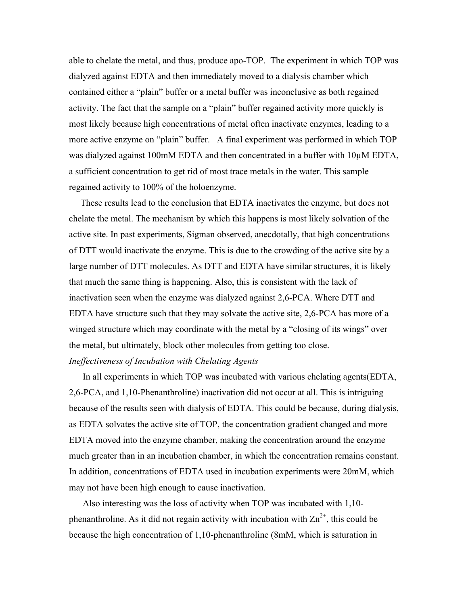able to chelate the metal, and thus, produce apo-TOP. The experiment in which TOP was dialyzed against EDTA and then immediately moved to a dialysis chamber which contained either a "plain" buffer or a metal buffer was inconclusive as both regained activity. The fact that the sample on a "plain" buffer regained activity more quickly is most likely because high concentrations of metal often inactivate enzymes, leading to a more active enzyme on "plain" buffer. A final experiment was performed in which TOP was dialyzed against 100mM EDTA and then concentrated in a buffer with 10 $\mu$ M EDTA, a sufficient concentration to get rid of most trace metals in the water. This sample regained activity to 100% of the holoenzyme.

 These results lead to the conclusion that EDTA inactivates the enzyme, but does not chelate the metal. The mechanism by which this happens is most likely solvation of the active site. In past experiments, Sigman observed, anecdotally, that high concentrations of DTT would inactivate the enzyme. This is due to the crowding of the active site by a large number of DTT molecules. As DTT and EDTA have similar structures, it is likely that much the same thing is happening. Also, this is consistent with the lack of inactivation seen when the enzyme was dialyzed against 2,6-PCA. Where DTT and EDTA have structure such that they may solvate the active site, 2,6-PCA has more of a winged structure which may coordinate with the metal by a "closing of its wings" over the metal, but ultimately, block other molecules from getting too close. *Ineffectiveness of Incubation with Chelating Agents* 

 In all experiments in which TOP was incubated with various chelating agents(EDTA, 2,6-PCA, and 1,10-Phenanthroline) inactivation did not occur at all. This is intriguing because of the results seen with dialysis of EDTA. This could be because, during dialysis, as EDTA solvates the active site of TOP, the concentration gradient changed and more EDTA moved into the enzyme chamber, making the concentration around the enzyme much greater than in an incubation chamber, in which the concentration remains constant. In addition, concentrations of EDTA used in incubation experiments were 20mM, which may not have been high enough to cause inactivation.

 Also interesting was the loss of activity when TOP was incubated with 1,10 phenanthroline. As it did not regain activity with incubation with  $\text{Zn}^{2+}$ , this could be because the high concentration of 1,10-phenanthroline (8mM, which is saturation in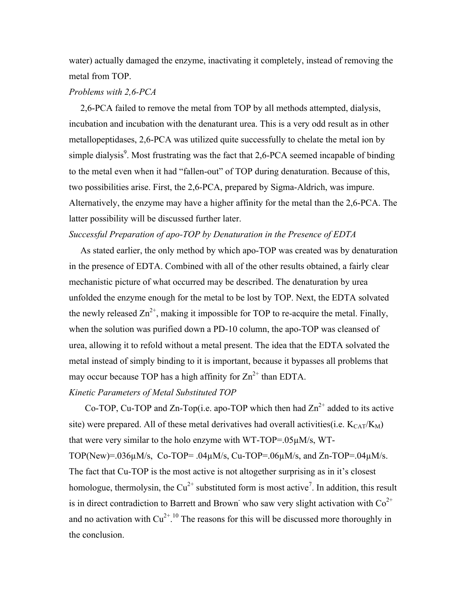water) actually damaged the enzyme, inactivating it completely, instead of removing the metal from TOP.

#### *Problems with 2,6-PCA*

 2,6-PCA failed to remove the metal from TOP by all methods attempted, dialysis, incubation and incubation with the denaturant urea. This is a very odd result as in other metallopeptidases, 2,6-PCA was utilized quite successfully to chelate the metal ion by simple dialysis $9$ . Most frustrating was the fact that 2,6-PCA seemed incapable of binding to the metal even when it had "fallen-out" of TOP during denaturation. Because of this, two possibilities arise. First, the 2,6-PCA, prepared by Sigma-Aldrich, was impure. Alternatively, the enzyme may have a higher affinity for the metal than the 2,6-PCA. The latter possibility will be discussed further later.

### *Successful Preparation of apo-TOP by Denaturation in the Presence of EDTA*

 As stated earlier, the only method by which apo-TOP was created was by denaturation in the presence of EDTA. Combined with all of the other results obtained, a fairly clear mechanistic picture of what occurred may be described. The denaturation by urea unfolded the enzyme enough for the metal to be lost by TOP. Next, the EDTA solvated the newly released  $\text{Zn}^{2+}$ , making it impossible for TOP to re-acquire the metal. Finally, when the solution was purified down a PD-10 column, the apo-TOP was cleansed of urea, allowing it to refold without a metal present. The idea that the EDTA solvated the metal instead of simply binding to it is important, because it bypasses all problems that may occur because TOP has a high affinity for  $\text{Zn}^{2+}$  than EDTA.

#### *Kinetic Parameters of Metal Substituted TOP*

Co-TOP, Cu-TOP and Zn-Top(i.e. apo-TOP which then had  $\text{Zn}^{2+}$  added to its active site) were prepared. All of these metal derivatives had overall activities(i.e.  $K_{CAT}/K_M$ ) that were very similar to the holo enzyme with WT-TOP=.05µM/s, WT-TOP(New)=.036 $\mu$ M/s, Co-TOP=.04 $\mu$ M/s, Cu-TOP=.06 $\mu$ M/s, and Zn-TOP=.04 $\mu$ M/s. The fact that Cu-TOP is the most active is not altogether surprising as in it's closest homologue, thermolysin, the  $Cu^{2+}$  substituted form is most active<sup>7</sup>. In addition, this result is in direct contradiction to Barrett and Brown<sup>-</sup> who saw very slight activation with  $Co^{2+}$ and no activation with  $Cu^{2+10}$  The reasons for this will be discussed more thoroughly in the conclusion.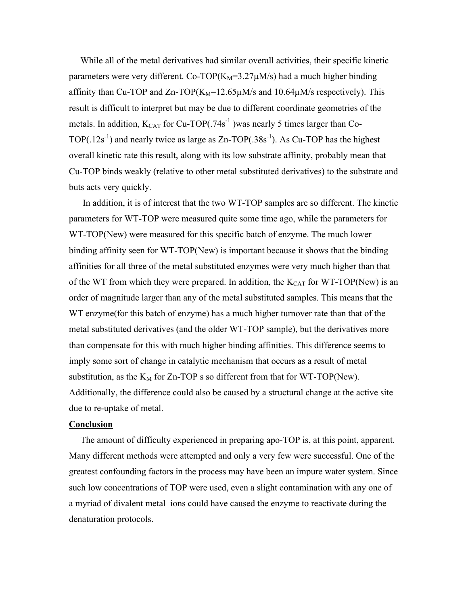While all of the metal derivatives had similar overall activities, their specific kinetic parameters were very different. Co-TOP( $K_M$ =3.27 $\mu$ M/s) had a much higher binding affinity than Cu-TOP and Zn-TOP( $K_M$ =12.65 $\mu$ M/s and 10.64 $\mu$ M/s respectively). This result is difficult to interpret but may be due to different coordinate geometries of the metals. In addition,  $K_{CAT}$  for Cu-TOP(.74s<sup>-1</sup>) was nearly 5 times larger than Co-TOP $(.12s^{-1})$  and nearly twice as large as Zn-TOP $(.38s^{-1})$ . As Cu-TOP has the highest overall kinetic rate this result, along with its low substrate affinity, probably mean that Cu-TOP binds weakly (relative to other metal substituted derivatives) to the substrate and buts acts very quickly.

 In addition, it is of interest that the two WT-TOP samples are so different. The kinetic parameters for WT-TOP were measured quite some time ago, while the parameters for WT-TOP(New) were measured for this specific batch of enzyme. The much lower binding affinity seen for WT-TOP(New) is important because it shows that the binding affinities for all three of the metal substituted enzymes were very much higher than that of the WT from which they were prepared. In addition, the  $K_{CAT}$  for WT-TOP(New) is an order of magnitude larger than any of the metal substituted samples. This means that the WT enzyme(for this batch of enzyme) has a much higher turnover rate than that of the metal substituted derivatives (and the older WT-TOP sample), but the derivatives more than compensate for this with much higher binding affinities. This difference seems to imply some sort of change in catalytic mechanism that occurs as a result of metal substitution, as the  $K_M$  for Zn-TOP s so different from that for WT-TOP(New). Additionally, the difference could also be caused by a structural change at the active site due to re-uptake of metal.

#### **Conclusion**

 The amount of difficulty experienced in preparing apo-TOP is, at this point, apparent. Many different methods were attempted and only a very few were successful. One of the greatest confounding factors in the process may have been an impure water system. Since such low concentrations of TOP were used, even a slight contamination with any one of a myriad of divalent metal ions could have caused the enzyme to reactivate during the denaturation protocols.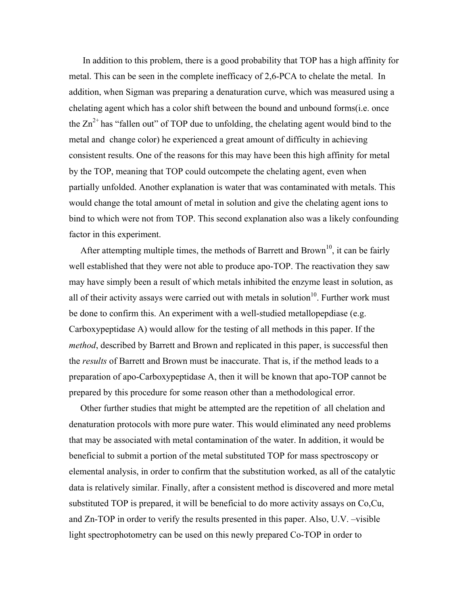In addition to this problem, there is a good probability that TOP has a high affinity for metal. This can be seen in the complete inefficacy of 2,6-PCA to chelate the metal. In addition, when Sigman was preparing a denaturation curve, which was measured using a chelating agent which has a color shift between the bound and unbound forms(i.e. once the  $\text{Zn}^{2+}$  has "fallen out" of TOP due to unfolding, the chelating agent would bind to the metal and change color) he experienced a great amount of difficulty in achieving consistent results. One of the reasons for this may have been this high affinity for metal by the TOP, meaning that TOP could outcompete the chelating agent, even when partially unfolded. Another explanation is water that was contaminated with metals. This would change the total amount of metal in solution and give the chelating agent ions to bind to which were not from TOP. This second explanation also was a likely confounding factor in this experiment.

After attempting multiple times, the methods of Barrett and Brown<sup>10</sup>, it can be fairly well established that they were not able to produce apo-TOP. The reactivation they saw may have simply been a result of which metals inhibited the enzyme least in solution, as all of their activity assays were carried out with metals in solution<sup>10</sup>. Further work must be done to confirm this. An experiment with a well-studied metallopepdiase (e.g. Carboxypeptidase A) would allow for the testing of all methods in this paper. If the *method*, described by Barrett and Brown and replicated in this paper, is successful then the *results* of Barrett and Brown must be inaccurate. That is, if the method leads to a preparation of apo-Carboxypeptidase A, then it will be known that apo-TOP cannot be prepared by this procedure for some reason other than a methodological error.

 Other further studies that might be attempted are the repetition of all chelation and denaturation protocols with more pure water. This would eliminated any need problems that may be associated with metal contamination of the water. In addition, it would be beneficial to submit a portion of the metal substituted TOP for mass spectroscopy or elemental analysis, in order to confirm that the substitution worked, as all of the catalytic data is relatively similar. Finally, after a consistent method is discovered and more metal substituted TOP is prepared, it will be beneficial to do more activity assays on Co,Cu, and Zn-TOP in order to verify the results presented in this paper. Also, U.V. –visible light spectrophotometry can be used on this newly prepared Co-TOP in order to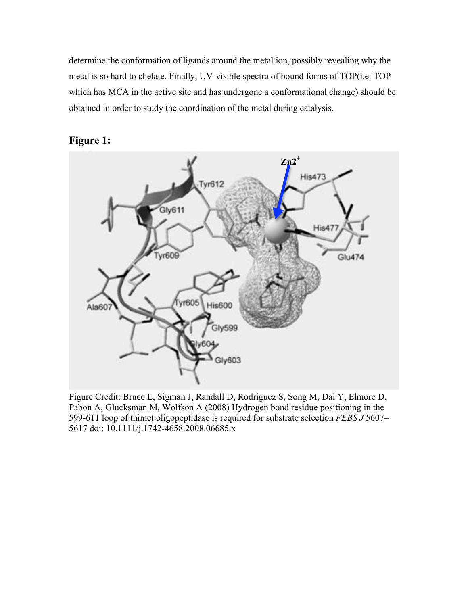determine the conformation of ligands around the metal ion, possibly revealing why the metal is so hard to chelate. Finally, UV-visible spectra of bound forms of TOP(i.e. TOP which has MCA in the active site and has undergone a conformational change) should be obtained in order to study the coordination of the metal during catalysis.



# **Figure 1:**

Figure Credit: Bruce L, Sigman J, Randall D, Rodriguez S, Song M, Dai Y, Elmore D, Pabon A, Glucksman M, Wolfson A (2008) Hydrogen bond residue positioning in the 599-611 loop of thimet oligopeptidase is required for substrate selection *FEBS J* 5607– 5617 doi: 10.1111/j.1742-4658.2008.06685.x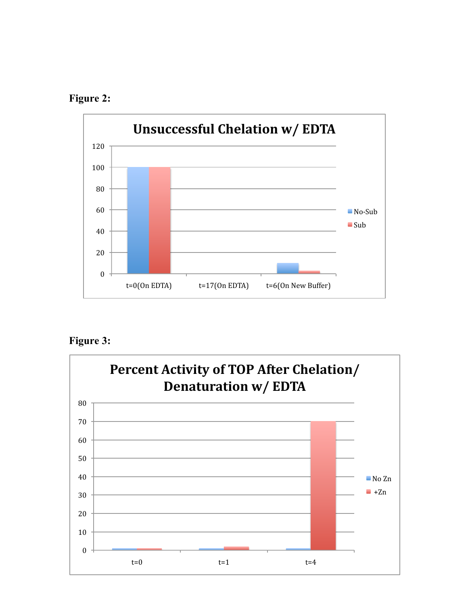





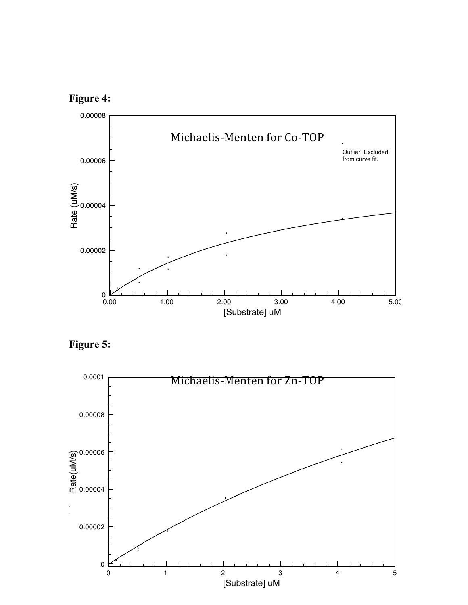





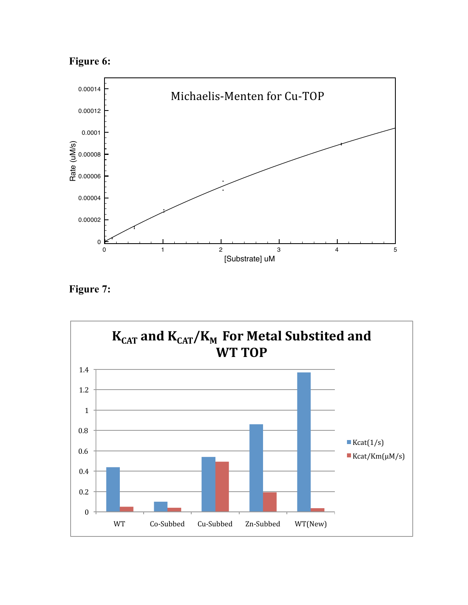



**Figure 7:**